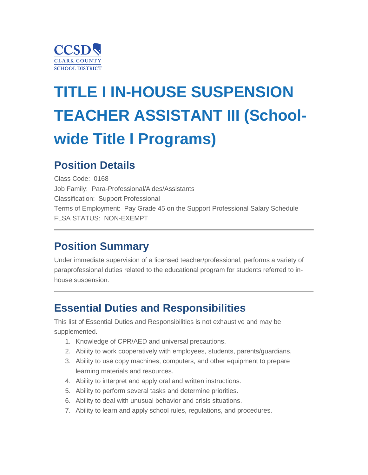

# **TITLE I IN-HOUSE SUSPENSION TEACHER ASSISTANT III (Schoolwide Title I Programs)**

### **Position Details**

Class Code: 0168 Job Family: Para-Professional/Aides/Assistants Classification: Support Professional Terms of Employment: Pay Grade 45 on the Support Professional Salary Schedule FLSA STATUS: NON-EXEMPT

### **Position Summary**

Under immediate supervision of a licensed teacher/professional, performs a variety of paraprofessional duties related to the educational program for students referred to inhouse suspension.

### **Essential Duties and Responsibilities**

This list of Essential Duties and Responsibilities is not exhaustive and may be supplemented.

- 1. Knowledge of CPR/AED and universal precautions.
- 2. Ability to work cooperatively with employees, students, parents/guardians.
- 3. Ability to use copy machines, computers, and other equipment to prepare learning materials and resources.
- 4. Ability to interpret and apply oral and written instructions.
- 5. Ability to perform several tasks and determine priorities.
- 6. Ability to deal with unusual behavior and crisis situations.
- 7. Ability to learn and apply school rules, regulations, and procedures.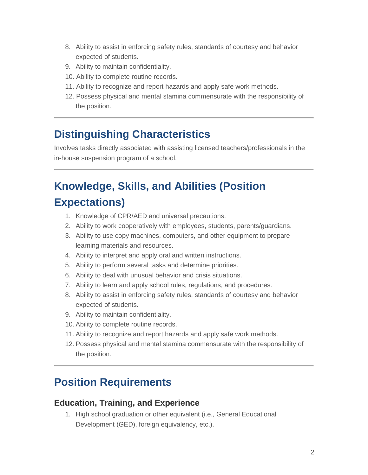- 8. Ability to assist in enforcing safety rules, standards of courtesy and behavior expected of students.
- 9. Ability to maintain confidentiality.
- 10. Ability to complete routine records.
- 11. Ability to recognize and report hazards and apply safe work methods.
- 12. Possess physical and mental stamina commensurate with the responsibility of the position.

### **Distinguishing Characteristics**

Involves tasks directly associated with assisting licensed teachers/professionals in the in-house suspension program of a school.

# **Knowledge, Skills, and Abilities (Position Expectations)**

- 1. Knowledge of CPR/AED and universal precautions.
- 2. Ability to work cooperatively with employees, students, parents/guardians.
- 3. Ability to use copy machines, computers, and other equipment to prepare learning materials and resources.
- 4. Ability to interpret and apply oral and written instructions.
- 5. Ability to perform several tasks and determine priorities.
- 6. Ability to deal with unusual behavior and crisis situations.
- 7. Ability to learn and apply school rules, regulations, and procedures.
- 8. Ability to assist in enforcing safety rules, standards of courtesy and behavior expected of students.
- 9. Ability to maintain confidentiality.
- 10. Ability to complete routine records.
- 11. Ability to recognize and report hazards and apply safe work methods.
- 12. Possess physical and mental stamina commensurate with the responsibility of the position.

### **Position Requirements**

#### **Education, Training, and Experience**

 1. High school graduation or other equivalent (i.e., General Educational Development (GED), foreign equivalency, etc.).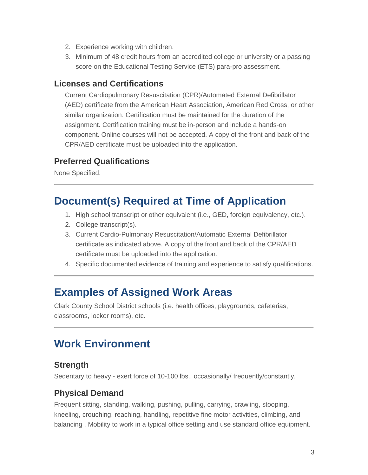- 2. Experience working with children.
- 3. Minimum of 48 credit hours from an accredited college or university or a passing score on the Educational Testing Service (ETS) para-pro assessment.

#### **Licenses and Certifications**

Current Cardiopulmonary Resuscitation (CPR)/Automated External Defibrillator (AED) certificate from the American Heart Association, American Red Cross, or other similar organization. Certification must be maintained for the duration of the assignment. Certification training must be in-person and include a hands-on component. Online courses will not be accepted. A copy of the front and back of the CPR/AED certificate must be uploaded into the application.

### **Preferred Qualifications**

None Specified.

### **Document(s) Required at Time of Application**

- 1. High school transcript or other equivalent (i.e., GED, foreign equivalency, etc.).
- 2. College transcript(s).
- 3. Current Cardio-Pulmonary Resuscitation/Automatic External Defibrillator certificate as indicated above. A copy of the front and back of the CPR/AED certificate must be uploaded into the application.
- 4. Specific documented evidence of training and experience to satisfy qualifications.

### **Examples of Assigned Work Areas**

Clark County School District schools (i.e. health offices, playgrounds, cafeterias, classrooms, locker rooms), etc.

## **Work Environment**

#### **Strength**

Sedentary to heavy - exert force of 10-100 lbs., occasionally/ frequently/constantly.

### **Physical Demand**

Frequent sitting, standing, walking, pushing, pulling, carrying, crawling, stooping, kneeling, crouching, reaching, handling, repetitive fine motor activities, climbing, and balancing . Mobility to work in a typical office setting and use standard office equipment.